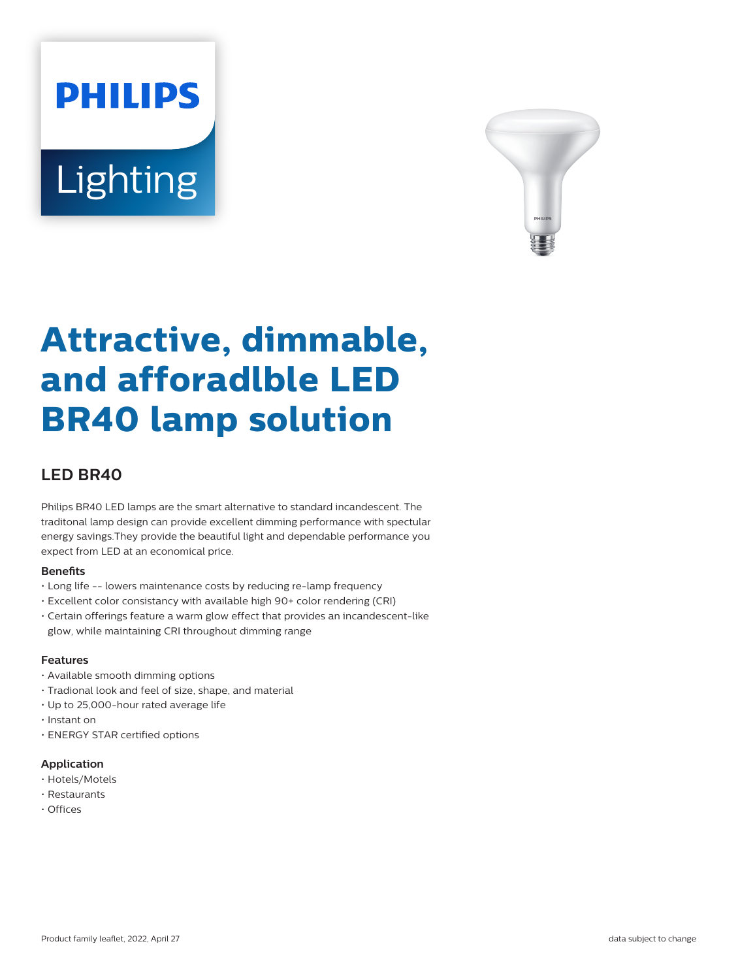# **PHILIPS Lighting**



# **Attractive, dimmable, and afforadlble LED BR40 lamp solution**

# **LED BR40**

Philips BR40 LED lamps are the smart alternative to standard incandescent. The traditonal lamp design can provide excellent dimming performance with spectular energy savings.They provide the beautiful light and dependable performance you expect from LED at an economical price.

#### **Benets**

- Long life -- lowers maintenance costs by reducing re-lamp frequency
- Excellent color consistancy with available high 90+ color rendering (CRI)
- Certain offerings feature a warm glow effect that provides an incandescent-like glow, while maintaining CRI throughout dimming range

#### **Features**

- Available smooth dimming options
- Tradional look and feel of size, shape, and material
- Up to 25,000-hour rated average life
- Instant on
- ENERGY STAR certified options

#### **Application**

- Hotels/Motels
- Restaurants
- Offices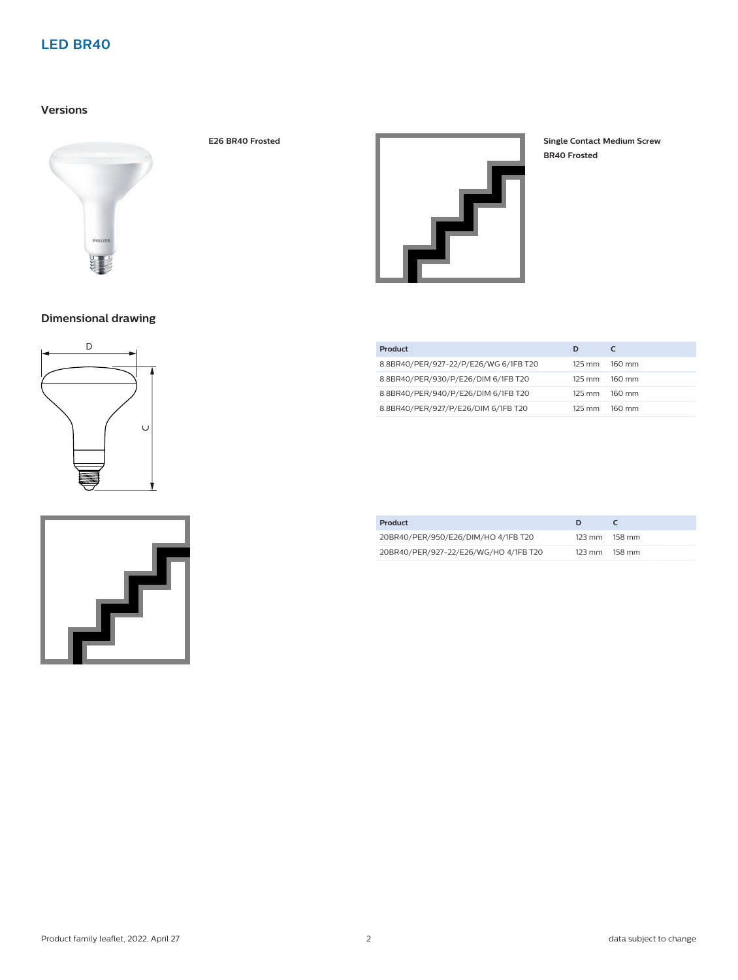# **LED BR40**

### **Versions**





**BR40 Frosted**

# **Dimensional drawing**





| Product                               | D                |                  |
|---------------------------------------|------------------|------------------|
| 8.8BR40/PER/927-22/P/E26/WG 6/1FB T20 | $125 \text{ mm}$ | $160 \text{ mm}$ |
| 8.8BR40/PER/930/P/E26/DIM 6/1FB T20   | $125 \text{ mm}$ | $160 \text{ mm}$ |
| 8.8BR40/PER/940/P/E26/DIM 6/1FB T20   | $125 \text{ mm}$ | $160 \text{ mm}$ |
| 8.8BR40/PER/927/P/E26/DIM 6/1FB T20   | 125 mm           | $160 \text{ mm}$ |

| Product                               |                  |        |
|---------------------------------------|------------------|--------|
| 20BR40/PER/950/E26/DIM/HO 4/1FB T20   | $123 \text{ mm}$ | 158 mm |
| 20BR40/PER/927-22/E26/WG/HO 4/1FB T20 | $123 \text{ mm}$ | 158 mm |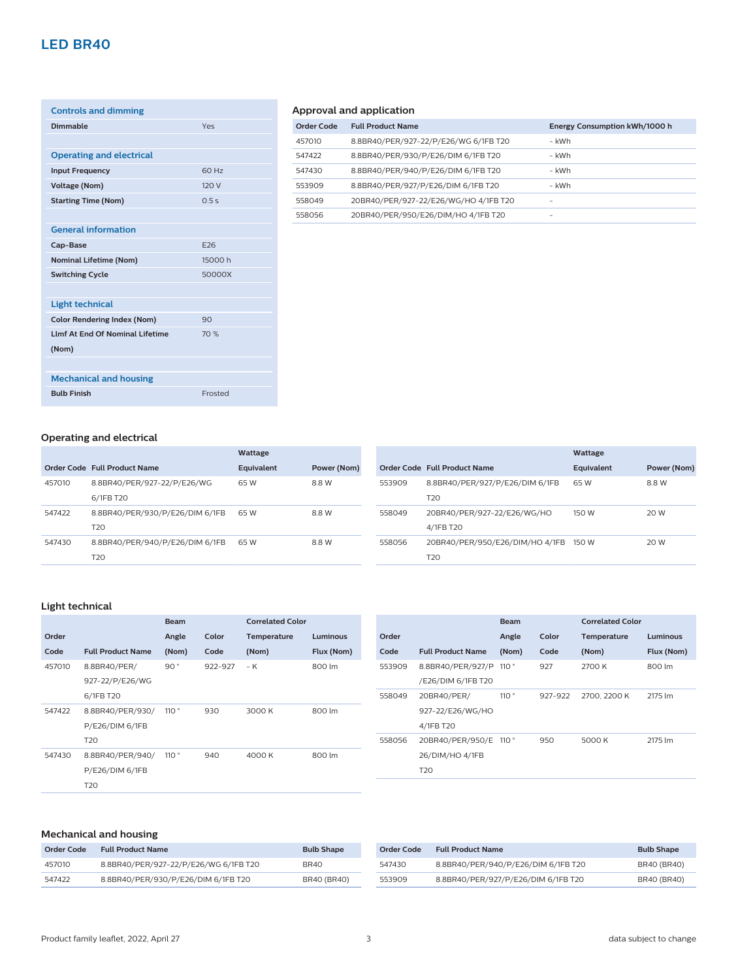# **LED BR40**

| <b>Controls and dimming</b>             |            |
|-----------------------------------------|------------|
| Dimmable                                | Yes        |
|                                         |            |
| <b>Operating and electrical</b>         |            |
| <b>Input Frequency</b>                  | 60 Hz      |
| <b>Voltage (Nom)</b>                    | 120 V      |
| <b>Starting Time (Nom)</b>              | 0.5s       |
|                                         |            |
| <b>General information</b>              |            |
| Cap-Base                                | <b>E26</b> |
| <b>Nominal Lifetime (Nom)</b>           | 15000 h    |
| <b>Switching Cycle</b>                  | 50000X     |
|                                         |            |
| <b>Light technical</b>                  |            |
| <b>Color Rendering Index (Nom)</b>      | 90         |
| <b>I Imf At Fnd Of Nominal Lifetime</b> | 70%        |
| (Nom)                                   |            |
|                                         |            |
| <b>Mechanical and housing</b>           |            |
| <b>Bulb Finish</b>                      | Frosted    |
|                                         |            |

# **Approval and application**

| <b>Order Code</b> | <b>Full Product Name</b>              | Energy Consumption kWh/1000 h |
|-------------------|---------------------------------------|-------------------------------|
| 457010            | 8.8BR40/PER/927-22/P/E26/WG 6/1FB T20 | – kWh                         |
| 547422            | 8.8BR40/PER/930/P/E26/DIM 6/1FB T20   | – kWh                         |
| 547430            | 8.8BR40/PER/940/P/E26/DIM 6/1FB T20   | – kWh                         |
| 553909            | 8.8BR40/PER/927/P/E26/DIM 6/1FB T20   | - kWh                         |
| 558049            | 20BR40/PER/927-22/E26/WG/HO 4/1FB T20 | -                             |
| 558056            | 20BR40/PER/950/E26/DIM/HO 4/1FB T20   |                               |

#### **Operating and electrical**

|        |                                 | Wattage    |             |
|--------|---------------------------------|------------|-------------|
|        | Order Code Full Product Name    | Equivalent | Power (Nom) |
| 457010 | 8.8BR40/PER/927-22/P/E26/WG     | 65 W       | 8.8 W       |
|        | 6/1FB T20                       |            |             |
| 547422 | 8.8BR40/PER/930/P/E26/DIM 6/1FB | 65 W       | 8.8 W       |
|        | T <sub>20</sub>                 |            |             |
| 547430 | 8.8BR40/PER/940/P/E26/DIM 6/1FB | 65 W       | 8.8 W       |
|        | T <sub>20</sub>                 |            |             |

|        |                                 | Wattage    |             |
|--------|---------------------------------|------------|-------------|
|        | Order Code Full Product Name    | Equivalent | Power (Nom) |
| 553909 | 8.8BR40/PER/927/P/E26/DIM 6/1FB | 65 W       | 8.8 W       |
|        | T <sub>20</sub>                 |            |             |
| 558049 | 20BR40/PER/927-22/E26/WG/HO     | 150 W      | 20 W        |
|        | 4/1FB T20                       |            |             |
| 558056 | 20BR40/PER/950/E26/DIM/HO 4/1FB | 150 W      | 20 W        |
|        | T <sub>20</sub>                 |            |             |

#### **Light technical**

|        |                          | <b>Beam</b> |         | <b>Correlated Color</b> |            |
|--------|--------------------------|-------------|---------|-------------------------|------------|
| Order  |                          | Angle       | Color   | Temperature             | Luminous   |
| Code   | <b>Full Product Name</b> | (Nom)       | Code    | (Nom)                   | Flux (Nom) |
| 457010 | 8.8BR40/PER/             | 90°         | 922-927 | – K                     | 800 lm     |
|        | 927-22/P/E26/WG          |             |         |                         |            |
|        | 6/1FB T20                |             |         |                         |            |
| 547422 | 8.8BR40/PER/930/         | 110°        | 930     | 3000 K                  | 800 lm     |
|        | P/E26/DIM 6/1FB          |             |         |                         |            |
|        | T <sub>20</sub>          |             |         |                         |            |
| 547430 | 8.8BR40/PER/940/         | 110°        | 940     | 4000 K                  | 800 lm     |
|        | P/E26/DIM 6/1FB          |             |         |                         |            |
|        | T <sub>20</sub>          |             |         |                         |            |

|        |                          | <b>Beam</b>    |         | <b>Correlated Color</b> |            |
|--------|--------------------------|----------------|---------|-------------------------|------------|
| Order  |                          | Angle          | Color   | Temperature             | Luminous   |
| Code   | <b>Full Product Name</b> | (Nom)          | Code    | (Nom)                   | Flux (Nom) |
| 553909 | 8.8BR40/PER/927/P        | 110°           | 927     | 2700 K                  | 800 lm     |
|        | /E26/DIM 6/1FB T20       |                |         |                         |            |
| 558049 | 20BR40/PER/              | 110°           | 927-922 | 2700, 2200 K            | 2175 lm    |
|        | 927-22/E26/WG/HO         |                |         |                         |            |
|        | 4/1FB T20                |                |         |                         |            |
| 558056 | 20BR40/PER/950/E         | 110 $^{\circ}$ | 950     | 5000 K                  | 2175 lm    |
|        | 26/DIM/HO 4/1FB          |                |         |                         |            |
|        | T <sub>20</sub>          |                |         |                         |            |

#### **Mechanical and housing**

| Order Code | <b>Full Product Name</b>              | <b>Bulb Shape</b>  |
|------------|---------------------------------------|--------------------|
| 457010     | 8.8BR40/PER/927-22/P/E26/WG 6/1FB T20 | BR40               |
| 547422     | 8.8BR40/PER/930/P/E26/DIM 6/1FB T20   | <b>BR40 (BR40)</b> |

| Order Code | <b>Full Product Name</b>            | <b>Bulb Shape</b>  |
|------------|-------------------------------------|--------------------|
| 547430     | 8.8BR40/PER/940/P/E26/DIM 6/1FB T20 | <b>BR40 (BR40)</b> |
| 553909     | 8.8BR40/PER/927/P/E26/DIM 6/1FB T20 | <b>BR40 (BR40)</b> |